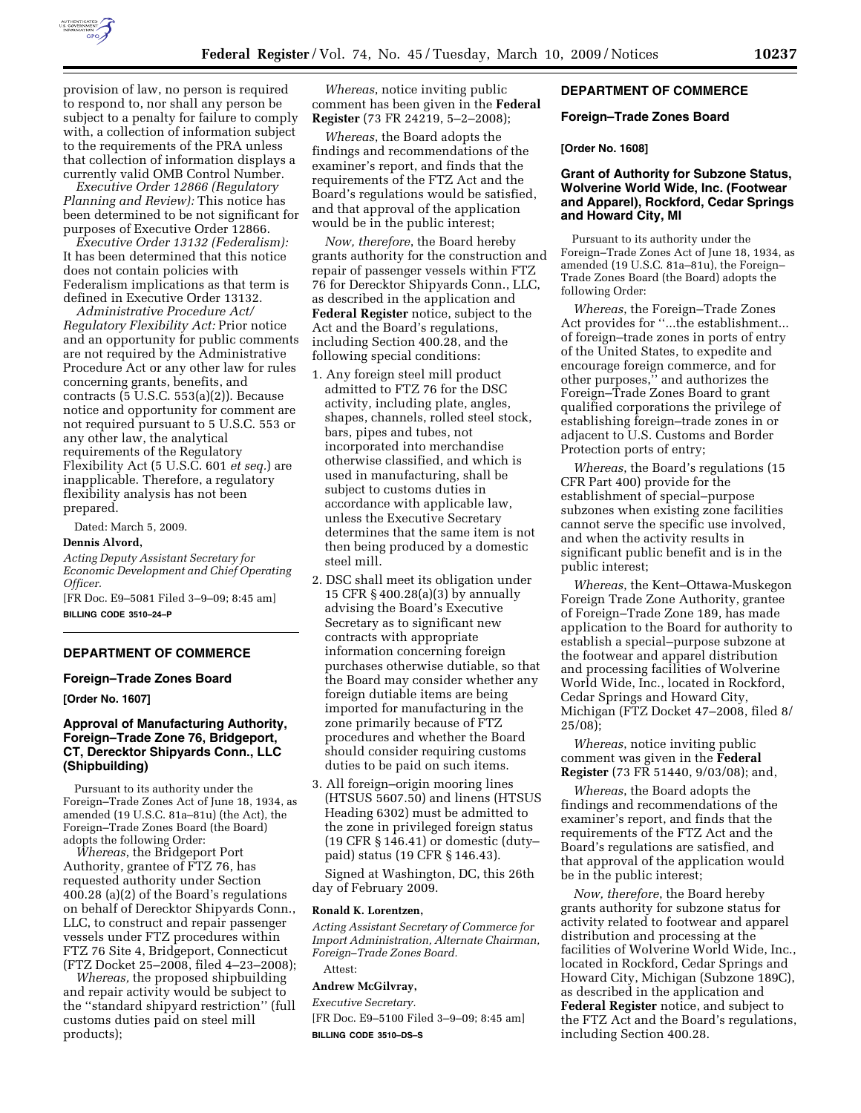

provision of law, no person is required to respond to, nor shall any person be subject to a penalty for failure to comply with, a collection of information subject to the requirements of the PRA unless that collection of information displays a currently valid OMB Control Number.

*Executive Order 12866 (Regulatory Planning and Review):* This notice has been determined to be not significant for purposes of Executive Order 12866.

*Executive Order 13132 (Federalism):*  It has been determined that this notice does not contain policies with Federalism implications as that term is defined in Executive Order 13132.

*Administrative Procedure Act/ Regulatory Flexibility Act:* Prior notice and an opportunity for public comments are not required by the Administrative Procedure Act or any other law for rules concerning grants, benefits, and contracts (5 U.S.C. 553(a)(2)). Because notice and opportunity for comment are not required pursuant to 5 U.S.C. 553 or any other law, the analytical requirements of the Regulatory Flexibility Act (5 U.S.C. 601 *et seq.*) are inapplicable. Therefore, a regulatory flexibility analysis has not been prepared.

Dated: March 5, 2009.

## **Dennis Alvord,**

*Acting Deputy Assistant Secretary for Economic Development and Chief Operating Officer.* 

[FR Doc. E9–5081 Filed 3–9–09; 8:45 am] **BILLING CODE 3510–24–P** 

## **DEPARTMENT OF COMMERCE**

### **Foreign–Trade Zones Board**

**[Order No. 1607]** 

## **Approval of Manufacturing Authority, Foreign–Trade Zone 76, Bridgeport, CT, Derecktor Shipyards Conn., LLC (Shipbuilding)**

Pursuant to its authority under the Foreign–Trade Zones Act of June 18, 1934, as amended (19 U.S.C. 81a–81u) (the Act), the Foreign–Trade Zones Board (the Board) adopts the following Order:

*Whereas*, the Bridgeport Port Authority, grantee of FTZ 76, has requested authority under Section 400.28 (a)(2) of the Board's regulations on behalf of Derecktor Shipyards Conn., LLC, to construct and repair passenger vessels under FTZ procedures within FTZ 76 Site 4, Bridgeport, Connecticut (FTZ Docket 25–2008, filed 4–23–2008);

*Whereas,* the proposed shipbuilding and repair activity would be subject to the ''standard shipyard restriction'' (full customs duties paid on steel mill products);

*Whereas*, notice inviting public comment has been given in the **Federal Register** (73 FR 24219, 5–2–2008);

*Whereas*, the Board adopts the findings and recommendations of the examiner's report, and finds that the requirements of the FTZ Act and the Board's regulations would be satisfied, and that approval of the application would be in the public interest;

*Now, therefore*, the Board hereby grants authority for the construction and repair of passenger vessels within FTZ 76 for Derecktor Shipyards Conn., LLC, as described in the application and **Federal Register** notice, subject to the Act and the Board's regulations, including Section 400.28, and the following special conditions:

- 1. Any foreign steel mill product admitted to FTZ 76 for the DSC activity, including plate, angles, shapes, channels, rolled steel stock, bars, pipes and tubes, not incorporated into merchandise otherwise classified, and which is used in manufacturing, shall be subject to customs duties in accordance with applicable law, unless the Executive Secretary determines that the same item is not then being produced by a domestic steel mill.
- 2. DSC shall meet its obligation under 15 CFR § 400.28(a)(3) by annually advising the Board's Executive Secretary as to significant new contracts with appropriate information concerning foreign purchases otherwise dutiable, so that the Board may consider whether any foreign dutiable items are being imported for manufacturing in the zone primarily because of FTZ procedures and whether the Board should consider requiring customs duties to be paid on such items.
- 3. All foreign–origin mooring lines (HTSUS 5607.50) and linens (HTSUS Heading 6302) must be admitted to the zone in privileged foreign status (19 CFR § 146.41) or domestic (duty– paid) status (19 CFR § 146.43).

Signed at Washington, DC, this 26th day of February 2009.

#### **Ronald K. Lorentzen,**

*Acting Assistant Secretary of Commerce for Import Administration, Alternate Chairman, Foreign–Trade Zones Board.* 

# Attest:

## **Andrew McGilvray,**

*Executive Secretary.*  [FR Doc. E9–5100 Filed 3–9–09; 8:45 am] **BILLING CODE 3510–DS–S** 

### **DEPARTMENT OF COMMERCE**

#### **Foreign–Trade Zones Board**

#### **[Order No. 1608]**

## **Grant of Authority for Subzone Status, Wolverine World Wide, Inc. (Footwear and Apparel), Rockford, Cedar Springs and Howard City, MI**

Pursuant to its authority under the Foreign–Trade Zones Act of June 18, 1934, as amended (19 U.S.C. 81a–81u), the Foreign– Trade Zones Board (the Board) adopts the following Order:

*Whereas*, the Foreign–Trade Zones Act provides for ''...the establishment... of foreign–trade zones in ports of entry of the United States, to expedite and encourage foreign commerce, and for other purposes,'' and authorizes the Foreign–Trade Zones Board to grant qualified corporations the privilege of establishing foreign–trade zones in or adjacent to U.S. Customs and Border Protection ports of entry;

*Whereas*, the Board's regulations (15 CFR Part 400) provide for the establishment of special–purpose subzones when existing zone facilities cannot serve the specific use involved, and when the activity results in significant public benefit and is in the public interest;

*Whereas*, the Kent–Ottawa-Muskegon Foreign Trade Zone Authority, grantee of Foreign–Trade Zone 189, has made application to the Board for authority to establish a special–purpose subzone at the footwear and apparel distribution and processing facilities of Wolverine World Wide, Inc., located in Rockford, Cedar Springs and Howard City, Michigan (FTZ Docket 47–2008, filed 8/ 25/08);

*Whereas*, notice inviting public comment was given in the **Federal Register** (73 FR 51440, 9/03/08); and,

*Whereas*, the Board adopts the findings and recommendations of the examiner's report, and finds that the requirements of the FTZ Act and the Board's regulations are satisfied, and that approval of the application would be in the public interest;

*Now, therefore*, the Board hereby grants authority for subzone status for activity related to footwear and apparel distribution and processing at the facilities of Wolverine World Wide, Inc., located in Rockford, Cedar Springs and Howard City, Michigan (Subzone 189C), as described in the application and **Federal Register** notice, and subject to the FTZ Act and the Board's regulations, including Section 400.28.